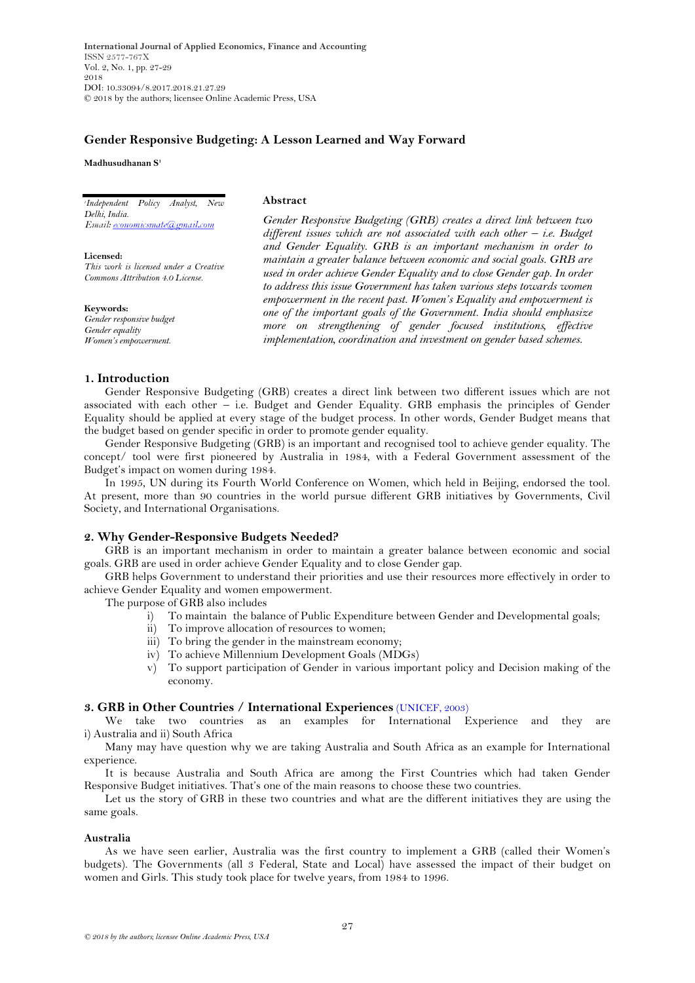**International Journal of Applied Economics, Finance and Accounting** ISSN 2577-767X Vol. 2, No. 1, pp. 27-29 2018 DOI: 10.33094/8.2017.2018.21.27.29 © 2018 by the authors; licensee Online Academic Press, USA

# **Gender Responsive Budgeting: A Lesson Learned and Way Forward**

#### **Madhusudhanan S<sup>1</sup>**

*1 Independent Policy Analyst, New Delhi, India.*

**Licensed:**  *This work is licensed under a Creative Commons Attribution 4.0 License.* 

**Keywords:** *Gender responsive budget Gender equality Women's empowerment.*

### **Abstract**

*Gender Responsive Budgeting (GRB) creates a direct link between two different issues which are not associated with each other – i.e. Budget and Gender Equality. GRB is an important mechanism in order to maintain a greater balance between economic and social goals. GRB are used in order achieve Gender Equality and to close Gender gap. In order to address this issue Government has taken various steps towards women empowerment in the recent past. Women's Equality and empowerment is one of the important goals of the Government. India should emphasize more on strengthening of gender focused institutions, effective implementation, coordination and investment on gender based schemes.*

### **1. Introduction**

Gender Responsive Budgeting (GRB) creates a direct link between two different issues which are not associated with each other – i.e. Budget and Gender Equality. GRB emphasis the principles of Gender Equality should be applied at every stage of the budget process. In other words, Gender Budget means that the budget based on gender specific in order to promote gender equality.

Gender Responsive Budgeting (GRB) is an important and recognised tool to achieve gender equality. The concept/ tool were first pioneered by Australia in 1984, with a Federal Government assessment of the Budget's impact on women during 1984.

In 1995, UN during its Fourth World Conference on Women, which held in Beijing, endorsed the tool. At present, more than 90 countries in the world pursue different GRB initiatives by Governments, Civil Society, and International Organisations.

### **2. Why Gender-Responsive Budgets Needed?**

GRB is an important mechanism in order to maintain a greater balance between economic and social goals. GRB are used in order achieve Gender Equality and to close Gender gap.

GRB helps Government to understand their priorities and use their resources more effectively in order to achieve Gender Equality and women empowerment.

The purpose of GRB also includes

- i) To maintain the balance of Public Expenditure between Gender and Developmental goals;
- ii) To improve allocation of resources to women;
- iii) To bring the gender in the mainstream economy;
- iv) To achieve Millennium Development Goals (MDGs)
- v) To support participation of Gender in various important policy and Decision making of the economy.

## **3. GRB in Other Countries / International Experiences** [\(UNICEF, 2003\)](#page-2-0)

We take two countries as an examples for International Experience and they are i) Australia and ii) South Africa

Many may have question why we are taking Australia and South Africa as an example for International experience.

It is because Australia and South Africa are among the First Countries which had taken Gender Responsive Budget initiatives. That"s one of the main reasons to choose these two countries.

Let us the story of GRB in these two countries and what are the different initiatives they are using the same goals.

#### **Australia**

As we have seen earlier, Australia was the first country to implement a GRB (called their Women"s budgets). The Governments (all 3 Federal, State and Local) have assessed the impact of their budget on women and Girls. This study took place for twelve years, from 1984 to 1996.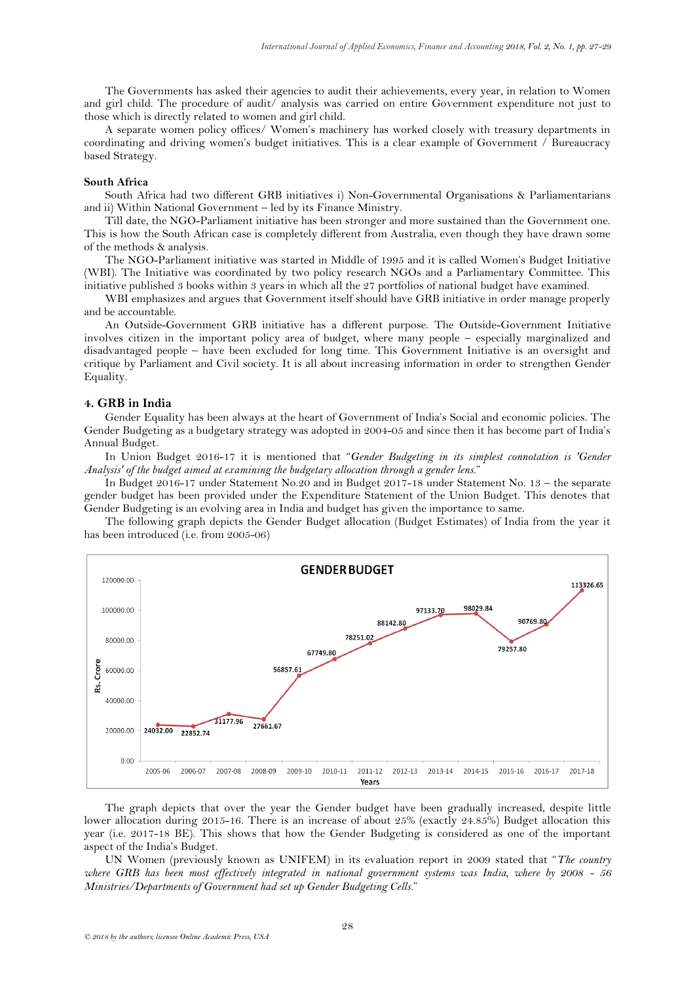The Governments has asked their agencies to audit their achievements, every year, in relation to Women and girl child. The procedure of audit/ analysis was carried on entire Government expenditure not just to those which is directly related to women and girl child.

A separate women policy offices/ Women"s machinery has worked closely with treasury departments in coordinating and driving women"s budget initiatives. This is a clear example of Government / Bureaucracy based Strategy.

#### **South Africa**

South Africa had two different GRB initiatives i) Non-Governmental Organisations & Parliamentarians and ii) Within National Government – led by its Finance Ministry.

Till date, the NGO-Parliament initiative has been stronger and more sustained than the Government one. This is how the South African case is completely different from Australia, even though they have drawn some of the methods & analysis.

The NGO-Parliament initiative was started in Middle of 1995 and it is called Women"s Budget Initiative (WBI). The Initiative was coordinated by two policy research NGOs and a Parliamentary Committee. This initiative published 3 books within 3 years in which all the 27 portfolios of national budget have examined.

WBI emphasizes and argues that Government itself should have GRB initiative in order manage properly and be accountable.

An Outside-Government GRB initiative has a different purpose. The Outside-Government Initiative involves citizen in the important policy area of budget, where many people – especially marginalized and disadvantaged people – have been excluded for long time. This Government Initiative is an oversight and critique by Parliament and Civil society. It is all about increasing information in order to strengthen Gender Equality.

## **4. GRB in India**

Gender Equality has been always at the heart of Government of India"s Social and economic policies. The Gender Budgeting as a budgetary strategy was adopted in 2004-05 and since then it has become part of India's Annual Budget.

In Union Budget 2016-17 it is mentioned that "*Gender Budgeting in its simplest connotation is 'Gender Analysis' of the budget aimed at examining the budgetary allocation through a gender lens.*"

In Budget 2016-17 under Statement No.20 and in Budget 2017-18 under Statement No. 13 – the separate gender budget has been provided under the Expenditure Statement of the Union Budget. This denotes that Gender Budgeting is an evolving area in India and budget has given the importance to same.

The following graph depicts the Gender Budget allocation (Budget Estimates) of India from the year it has been introduced (i.e. from 2005-06)



The graph depicts that over the year the Gender budget have been gradually increased, despite little lower allocation during 2015-16. There is an increase of about 25% (exactly 24.85%) Budget allocation this year (i.e. 2017-18 BE). This shows that how the Gender Budgeting is considered as one of the important aspect of the India"s Budget.

UN Women (previously known as UNIFEM) in its evaluation report in 2009 stated that "*The country where GRB has been most effectively integrated in national government systems was India, where by 2008 - 56 Ministries/Departments of Government had set up Gender Budgeting Cells.*"